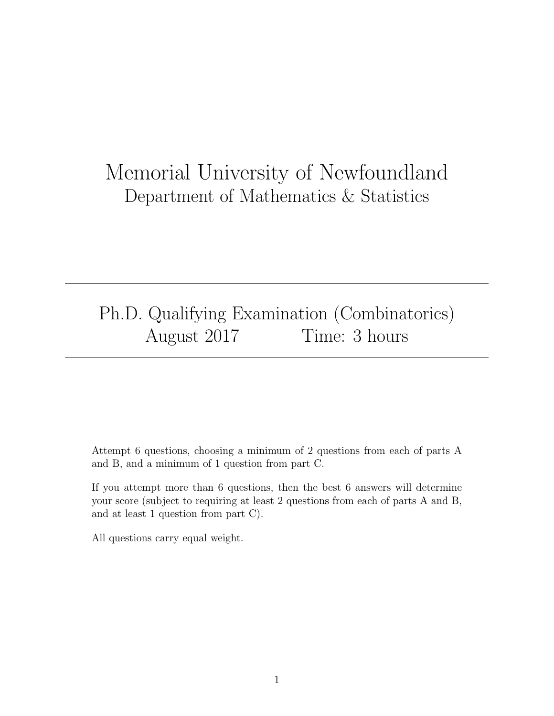# Memorial University of Newfoundland Department of Mathematics & Statistics

# Ph.D. Qualifying Examination (Combinatorics) August 2017 Time: 3 hours

Attempt 6 questions, choosing a minimum of 2 questions from each of parts A and B, and a minimum of 1 question from part C.

If you attempt more than 6 questions, then the best 6 answers will determine your score (subject to requiring at least 2 questions from each of parts A and B, and at least 1 question from part C).

All questions carry equal weight.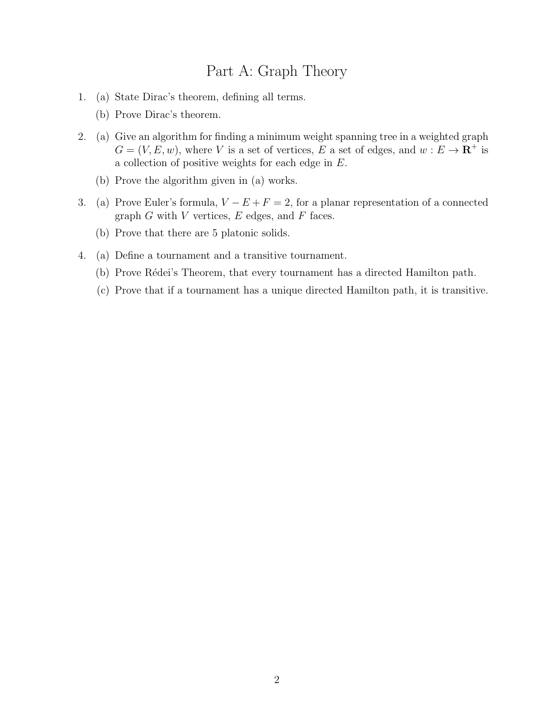## Part A: Graph Theory

- 1. (a) State Dirac's theorem, defining all terms.
	- (b) Prove Dirac's theorem.
- 2. (a) Give an algorithm for finding a minimum weight spanning tree in a weighted graph  $G = (V, E, w)$ , where V is a set of vertices, E a set of edges, and  $w : E \to \mathbb{R}^+$  is a collection of positive weights for each edge in E.
	- (b) Prove the algorithm given in (a) works.
- 3. (a) Prove Euler's formula,  $V E + F = 2$ , for a planar representation of a connected graph  $G$  with  $V$  vertices,  $E$  edges, and  $F$  faces.
	- (b) Prove that there are 5 platonic solids.
- 4. (a) Define a tournament and a transitive tournament.
	- (b) Prove Rédei's Theorem, that every tournament has a directed Hamilton path.
	- (c) Prove that if a tournament has a unique directed Hamilton path, it is transitive.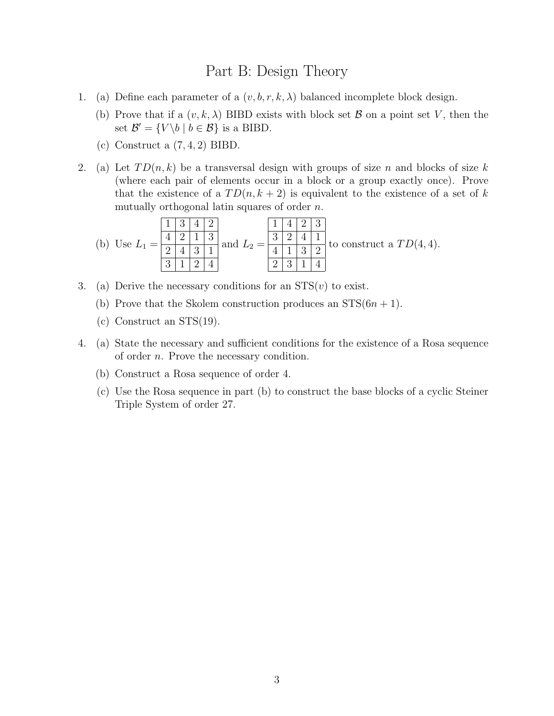#### Part B: Design Theory

- 1. (a) Define each parameter of a  $(v, b, r, k, \lambda)$  balanced incomplete block design.
	- (b) Prove that if a  $(v, k, \lambda)$  BIBD exists with block set  $\beta$  on a point set V, then the set  $\mathcal{B}' = \{V \backslash b \mid b \in \mathcal{B}\}\$ is a BIBD.
	- (c) Construct a  $(7, 4, 2)$  BIBD.
- 2. (a) Let  $TD(n, k)$  be a transversal design with groups of size n and blocks of size k (where each pair of elements occur in a block or a group exactly once). Prove that the existence of a  $TD(n, k+2)$  is equivalent to the existence of a set of k mutually orthogonal latin squares of order n.

(b) Use L<sup>1</sup> = 1 3 4 2 4 2 1 3 2 4 3 1 3 1 2 4 and L<sup>2</sup> = 1 4 2 3 3 2 4 1 4 1 3 2 2 3 1 4 to construct a T D(4, 4).

- 3. (a) Derive the necessary conditions for an  $STS(v)$  to exist.
	- (b) Prove that the Skolem construction produces an  $STS(6n + 1)$ .
	- (c) Construct an STS(19).
- 4. (a) State the necessary and sufficient conditions for the existence of a Rosa sequence of order n. Prove the necessary condition.
	- (b) Construct a Rosa sequence of order 4.
	- (c) Use the Rosa sequence in part (b) to construct the base blocks of a cyclic Steiner Triple System of order 27.